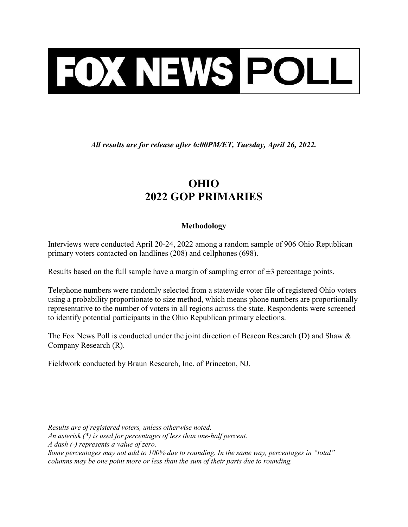

All results are for release after 6:00PM/ET, Tuesday, April 26, 2022.

## OHIO 2022 GOP PRIMARIES

## Methodology

Interviews were conducted April 20-24, 2022 among a random sample of 906 Ohio Republican primary voters contacted on landlines (208) and cellphones (698).

Results based on the full sample have a margin of sampling error of  $\pm 3$  percentage points.

Telephone numbers were randomly selected from a statewide voter file of registered Ohio voters using a probability proportionate to size method, which means phone numbers are proportionally representative to the number of voters in all regions across the state. Respondents were screened to identify potential participants in the Ohio Republican primary elections.

The Fox News Poll is conducted under the joint direction of Beacon Research (D) and Shaw & Company Research (R).

Fieldwork conducted by Braun Research, Inc. of Princeton, NJ.

Results are of registered voters, unless otherwise noted. An asterisk (\*) is used for percentages of less than one-half percent. A dash (-) represents a value of zero. Some percentages may not add to 100% due to rounding. In the same way, percentages in "total" columns may be one point more or less than the sum of their parts due to rounding.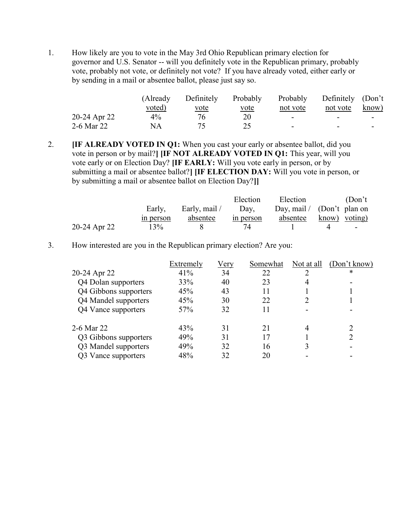1. How likely are you to vote in the May 3rd Ohio Republican primary election for governor and U.S. Senator -- will you definitely vote in the Republican primary, probably vote, probably not vote, or definitely not vote? If you have already voted, either early or by sending in a mail or absentee ballot, please just say so.

|              | (Already) | Definitely  | Probably    | Probably                 | Definitely (Don't        |                          |
|--------------|-----------|-------------|-------------|--------------------------|--------------------------|--------------------------|
|              | voted)    | <u>vote</u> | <u>vote</u> | not vote                 | not vote                 | know)                    |
| 20-24 Apr 22 | $4\%$     | 76.         | 20          | $\overline{\phantom{0}}$ | $\overline{\phantom{0}}$ | $\overline{\phantom{0}}$ |
| 2-6 Mar 22   | NA        |             |             | $\overline{\phantom{0}}$ | -                        |                          |

2. **IF ALREADY VOTED IN Q1:** When you cast your early or absentee ballot, did you vote in person or by mail?] [IF NOT ALREADY VOTED IN Q1: This year, will you vote early or on Election Day? [IF EARLY: Will you vote early in person, or by submitting a mail or absentee ballot?] [IF ELECTION DAY: Will you vote in person, or by submitting a mail or absentee ballot on Election Day?]]

|              |           |               | Election  | Election                     | (Don't)       |
|--------------|-----------|---------------|-----------|------------------------------|---------------|
|              | Early,    | Early, mail / | Day,      | Day, mail / $(Don't$ plan on |               |
|              | in person | absentee      | in person | absentee                     | know) voting) |
| 20-24 Apr 22 | 13%       |               | 74        |                              | $\sim$        |

3. How interested are you in the Republican primary election? Are you:

|                       | Extremely | <u>Very</u> | Somewhat | Not at all | (Don't know) |
|-----------------------|-----------|-------------|----------|------------|--------------|
| 20-24 Apr 22          | 41%       | 34          | 22       |            | *            |
| Q4 Dolan supporters   | 33%       | 40          | 23       | 4          |              |
| Q4 Gibbons supporters | 45%       | 43          | 11       |            |              |
| Q4 Mandel supporters  | 45%       | 30          | 22       |            |              |
| Q4 Vance supporters   | 57%       | 32          | 11       |            |              |
| 2-6 Mar 22            | 43%       | 31          | 21       | 4          |              |
| Q3 Gibbons supporters | 49%       | 31          | 17       |            |              |
| Q3 Mandel supporters  | 49%       | 32          | 16       |            |              |
| Q3 Vance supporters   | 48%       | 32          | 20       |            |              |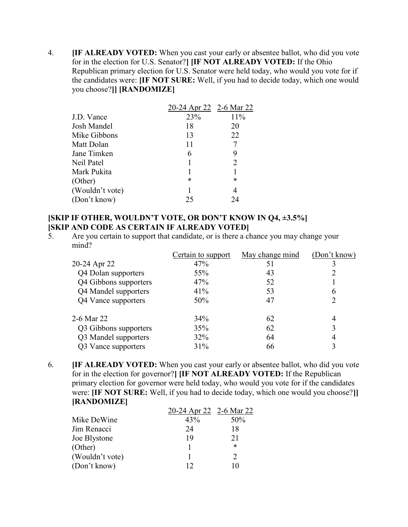4. **IF ALREADY VOTED:** When you cast your early or absentee ballot, who did you vote for in the election for U.S. Senator?] [IF NOT ALREADY VOTED: If the Ohio Republican primary election for U.S. Senator were held today, who would you vote for if the candidates were: [IF NOT SURE: Well, if you had to decide today, which one would you choose?]] [RANDOMIZE]

|                 | <u>20-24 Apr 22 2-6 Mar 22</u> |                             |
|-----------------|--------------------------------|-----------------------------|
| J.D. Vance      | 23%                            | 11%                         |
| Josh Mandel     | 18                             | 20                          |
| Mike Gibbons    | 13                             | 22                          |
| Matt Dolan      | 11                             |                             |
| Jane Timken     | 6                              | 9                           |
| Neil Patel      |                                | $\mathcal{D}_{\mathcal{L}}$ |
| Mark Pukita     |                                |                             |
| (Other)         | *                              | $\ast$                      |
| (Wouldn't vote) |                                | 4                           |
| (Don't know)    | 25                             | 24                          |

## [SKIP IF OTHER, WOULDN'T VOTE, OR DON'T KNOW IN Q4, ±3.5%] [SKIP AND CODE AS CERTAIN IF ALREADY VOTED]

5. Are you certain to support that candidate, or is there a chance you may change your mind?

|                            | Certain to support | May change mind | (Don't know) |
|----------------------------|--------------------|-----------------|--------------|
| 20-24 Apr 22               | 47%                | 51              |              |
| <b>Q4 Dolan supporters</b> | 55%                | 43              |              |
| Q4 Gibbons supporters      | 47%                | 52              |              |
| Q4 Mandel supporters       | 41%                | 53              | 6            |
| Q4 Vance supporters        | 50%                | 47              |              |
| 2-6 Mar 22                 | 34%                | 62              | 4            |
| Q3 Gibbons supporters      | 35%                | 62              | 3            |
| Q3 Mandel supporters       | 32%                | 64              | 4            |
| Q3 Vance supporters        | 31%                | 66              |              |

6. **IF ALREADY VOTED:** When you cast your early or absentee ballot, who did you vote for in the election for governor?] [IF NOT ALREADY VOTED: If the Republican primary election for governor were held today, who would you vote for if the candidates were: **IF NOT SURE:** Well, if you had to decide today, which one would you choose? [RANDOMIZE]

|                 | 20-24 Apr 22 2-6 Mar 22 |        |
|-----------------|-------------------------|--------|
| Mike DeWine     | 43%                     | 50%    |
| Jim Renacci     | 24                      | 18     |
| Joe Blystone    | 19                      | 21     |
| (Other)         |                         | $\ast$ |
| (Wouldn't vote) |                         |        |
| (Don't know)    | 12                      | l ()   |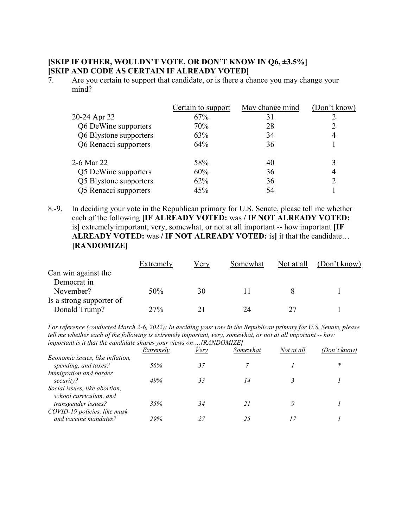## [SKIP IF OTHER, WOULDN'T VOTE, OR DON'T KNOW IN Q6, ±3.5%] [SKIP AND CODE AS CERTAIN IF ALREADY VOTED]

7. Are you certain to support that candidate, or is there a chance you may change your mind?

|                        | Certain to support | May change mind | (Don't know) |
|------------------------|--------------------|-----------------|--------------|
| 20-24 Apr 22           | 67%                | 31              |              |
| Q6 DeWine supporters   | 70%                | 28              |              |
| Q6 Blystone supporters | 63%                | 34              | 4            |
| Q6 Renacci supporters  | 64%                | 36              |              |
| 2-6 Mar 22             | 58%                | 40              |              |
| Q5 DeWine supporters   | 60%                | 36              | 4            |
| Q5 Blystone supporters | 62%                | 36              | ာ            |
| Q5 Renacci supporters  | 45%                | 54              |              |

8.-9. In deciding your vote in the Republican primary for U.S. Senate, please tell me whether each of the following [IF ALREADY VOTED: was / IF NOT ALREADY VOTED: is] extremely important, very, somewhat, or not at all important -- how important [IF ALREADY VOTED: was / IF NOT ALREADY VOTED: is] it that the candidate... [RANDOMIZE]

|                          | Extremely | Very | Somewhat | Not at all | (Don't know) |
|--------------------------|-----------|------|----------|------------|--------------|
| Can win against the      |           |      |          |            |              |
| Democrat in              |           |      |          |            |              |
| November?                | 50%       | 30   |          |            |              |
| Is a strong supporter of |           |      |          |            |              |
| Donald Trump?            | 27%       |      | 74       |            |              |

For reference (conducted March 2-6, 2022): In deciding your vote in the Republican primary for U.S. Senate, please tell me whether each of the following is extremely important, very, somewhat, or not at all important -- how important is it that the candidate shares your views on …[RANDOMIZE]

|                                  | Extremely | Very | Somewhat | Not at all | (Don't know) |
|----------------------------------|-----------|------|----------|------------|--------------|
| Economic issues, like inflation, |           |      |          |            |              |
| spending, and taxes?             | 56%       | 37   |          |            | *            |
| Immigration and border           |           |      |          |            |              |
| security?                        | 49%       | 33   | 14       |            |              |
| Social issues, like abortion,    |           |      |          |            |              |
| school curriculum, and           |           |      |          |            |              |
| transgender issues?              | 35%       |      |          |            |              |
| COVID-19 policies, like mask     |           |      |          |            |              |
| and vaccine mandates?            | 29%       |      |          |            |              |
|                                  |           |      |          |            |              |